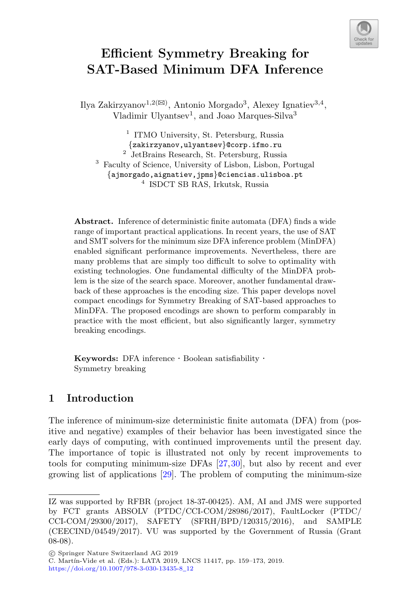

# **Efficient Symmetry Breaking for SAT-Based Minimum DFA Inference**

Ilya Zakirzyanov $^{1,2(\boxtimes)}$ , Antonio Morgado<sup>3</sup>, Alexey Ignatiev $^{3,4},$ Vladimir Ulyantsev<sup>1</sup>, and Joao Marques-Silva<sup>3</sup>

<sup>1</sup> ITMO University, St. Petersburg, Russia  ${zakirzyanov,ulyantsev}$  corp.ifmo.ru <sup>2</sup> JetBrains Research, St. Petersburg, Russia <sup>3</sup> Faculty of Science, University of Lisbon, Lisbon, Portugal {ajmorgado,aignatiev,jpms}@ciencias.ulisboa.pt <sup>4</sup> ISDCT SB RAS, Irkutsk, Russia

**Abstract.** Inference of deterministic finite automata (DFA) finds a wide range of important practical applications. In recent years, the use of SAT and SMT solvers for the minimum size DFA inference problem (MinDFA) enabled significant performance improvements. Nevertheless, there are many problems that are simply too difficult to solve to optimality with existing technologies. One fundamental difficulty of the MinDFA problem is the size of the search space. Moreover, another fundamental drawback of these approaches is the encoding size. This paper develops novel compact encodings for Symmetry Breaking of SAT-based approaches to MinDFA. The proposed encodings are shown to perform comparably in practice with the most efficient, but also significantly larger, symmetry breaking encodings.

**Keywords:** DFA inference · Boolean satisfiability · Symmetry breaking

# **1 Introduction**

The inference of minimum-size deterministic finite automata (DFA) from (positive and negative) examples of their behavior has been investigated since the early days of computing, with continued improvements until the present day. The importance of topic is illustrated not only by recent improvements to tools for computing minimum-size DFAs [\[27](#page-14-0)[,30](#page-14-1)], but also by recent and ever growing list of applications [\[29\]](#page-14-2). The problem of computing the minimum-size

-c Springer Nature Switzerland AG 2019

C. Martín-Vide et al. (Eds.): LATA 2019, LNCS 11417, pp. 159-173, 2019. [https://doi.org/10.1007/978-3-030-13435-8](https://doi.org/10.1007/978-3-030-13435-8_12)\_12

IZ was supported by RFBR (project 18-37-00425). AM, AI and JMS were supported by FCT grants ABSOLV (PTDC/CCI-COM/28986/2017), FaultLocker (PTDC/ CCI-COM/29300/2017), SAFETY (SFRH/BPD/120315/2016), and SAMPLE (CEECIND/04549/2017). VU was supported by the Government of Russia (Grant 08-08).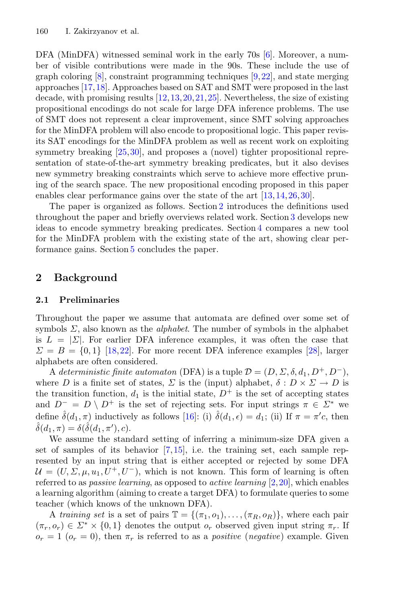DFA (MinDFA) witnessed seminal work in the early 70s [\[6](#page-13-0)]. Moreover, a number of visible contributions were made in the 90s. These include the use of graph coloring  $[8]$  $[8]$ , constraint programming techniques  $[9,22]$  $[9,22]$ , and state merging approaches [\[17](#page-13-4)[,18](#page-13-5)]. Approaches based on SAT and SMT were proposed in the last decade, with promising results [\[12,](#page-13-6)[13](#page-13-7)[,20](#page-13-8),[21,](#page-13-9)[25](#page-13-10)]. Nevertheless, the size of existing propositional encodings do not scale for large DFA inference problems. The use of SMT does not represent a clear improvement, since SMT solving approaches for the MinDFA problem will also encode to propositional logic. This paper revisits SAT encodings for the MinDFA problem as well as recent work on exploiting symmetry breaking  $[25,30]$  $[25,30]$  $[25,30]$ , and proposes a (novel) tighter propositional representation of state-of-the-art symmetry breaking predicates, but it also devises new symmetry breaking constraints which serve to achieve more effective pruning of the search space. The new propositional encoding proposed in this paper enables clear performance gains over the state of the art [\[13,](#page-13-7)[14](#page-13-11)[,26](#page-14-3)[,30](#page-14-1)].

The paper is organized as follows. Section [2](#page-1-0) introduces the definitions used throughout the paper and briefly overviews related work. Section [3](#page-4-0) develops new ideas to encode symmetry breaking predicates. Section [4](#page-10-0) compares a new tool for the MinDFA problem with the existing state of the art, showing clear performance gains. Section [5](#page-12-0) concludes the paper.

# <span id="page-1-0"></span>**2 Background**

### **2.1 Preliminaries**

Throughout the paper we assume that automata are defined over some set of symbols Σ, also known as the *alphabet*. The number of symbols in the alphabet is  $L = |\Sigma|$ . For earlier DFA inference examples, it was often the case that  $\Sigma = B = \{0, 1\}$  [\[18,](#page-13-5)[22\]](#page-13-3). For more recent DFA inference examples [\[28\]](#page-14-4), larger alphabets are often considered.

A *deterministic finite automaton* (DFA) is a tuple  $\mathcal{D} = (D, \Sigma, \delta, d_1, D^+, D^-)$ , where D is a finite set of states,  $\Sigma$  is the (input) alphabet,  $\delta: D \times \Sigma \to D$  is the transition function,  $d_1$  is the initial state,  $D^+$  is the set of accepting states and  $D^{-} = D \setminus D^{+}$  is the set of rejecting sets. For input strings  $\pi \in \Sigma^*$  we define  $\hat{\delta}(d_1, \pi)$  inductively as follows [\[16\]](#page-13-12): (i)  $\hat{\delta}(d_1, \epsilon) = d_1$ ; (ii) If  $\pi = \pi'c$ , then  $\hat{\delta}(d_1,\pi) = \delta(\hat{\delta}(d_1,\pi'),c).$ 

We assume the standard setting of inferring a minimum-size DFA given a set of samples of its behavior  $[7,15]$  $[7,15]$ , i.e. the training set, each sample represented by an input string that is either accepted or rejected by some DFA  $U = (U, \Sigma, \mu, u_1, U^+, U^-)$ , which is not known. This form of learning is often referred to as *passive learning*, as opposed to *active learning* [\[2](#page-12-1)[,20](#page-13-8)], which enables a learning algorithm (aiming to create a target DFA) to formulate queries to some teacher (which knows of the unknown DFA).

A *training set* is a set of pairs  $\mathbb{T} = \{(\pi_1, o_1), \ldots, (\pi_R, o_R)\}\)$ , where each pair  $(\pi_r, o_r) \in \Sigma^* \times \{0, 1\}$  denotes the output  $o_r$  observed given input string  $\pi_r$ . If  $o_r = 1$   $(o_r = 0)$ , then  $\pi_r$  is referred to as a *positive* (*negative*) example. Given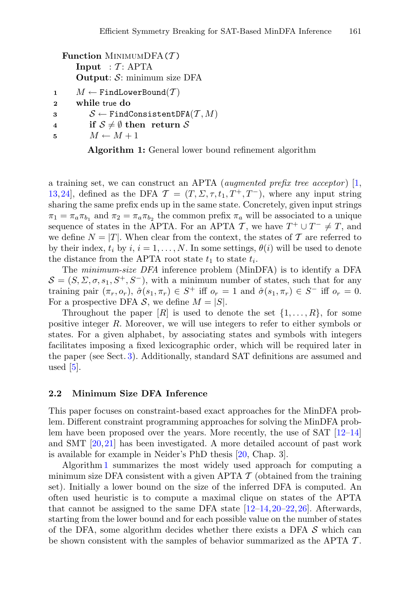```
Function MINIMUMDFA(T)
      Input : \mathcal{T}: APTA
      Output: S: minimum size DFA
1 M \leftarrow FindLowerBound(T)<br>
2 while true do
      2 while true do
```
**3**  $S \leftarrow$  FindConsistentDFA $(T, M)$ <br> **4 if**  $S \neq \emptyset$  then return S **4 if**  $S \neq \emptyset$  then return S<br>**5**  $M \leftarrow M + 1$ 

 $M \leftarrow M + 1$ 

**Algorithm 1:** General lower bound refinement algorithm

a training set, we can construct an APTA (*augmented prefix tree acceptor* ) [\[1,](#page-12-2) [13,](#page-13-7)[24](#page-13-15)], defined as the DFA  $\mathcal{T} = (T, \Sigma, \tau, t_1, T^+, T^-)$ , where any input string sharing the same prefix ends up in the same state. Concretely, given input strings  $\pi_1 = \pi_a \pi_{b_1}$  and  $\pi_2 = \pi_a \pi_{b_2}$  the common prefix  $\pi_a$  will be associated to a unique sequence of states in the APTA. For an APTA T, we have  $T^+ \cup T^- \neq T$ , and we define  $N = |T|$ . When clear from the context, the states of T are referred to by their index,  $t_i$  by  $i, i = 1, \ldots, N$ . In some settings,  $\theta(i)$  will be used to denote the distance from the APTA root state  $t_1$  to state  $t_i$ .

The *minimum-size DFA* inference problem (MinDFA) is to identify a DFA  $S = (S, \Sigma, \sigma, s_1, S^+, S^-)$ , with a minimum number of states, such that for any training pair  $(\pi_r, o_r)$ ,  $\hat{\sigma}(s_1, \pi_r) \in S^+$  iff  $o_r = 1$  and  $\hat{\sigma}(s_1, \pi_r) \in S^-$  iff  $o_r = 0$ . For a prospective DFA  $S$ , we define  $M = |S|$ .

Throughout the paper  $[R]$  is used to denote the set  $\{1,\ldots,R\}$ , for some positive integer R. Moreover, we will use integers to refer to either symbols or states. For a given alphabet, by associating states and symbols with integers facilitates imposing a fixed lexicographic order, which will be required later in the paper (see Sect. [3\)](#page-4-0). Additionally, standard SAT definitions are assumed and used  $[5]$  $[5]$ .

### **2.2 Minimum Size DFA Inference**

This paper focuses on constraint-based exact approaches for the MinDFA problem. Different constraint programming approaches for solving the MinDFA problem have been proposed over the years. More recently, the use of SAT  $[12-14]$  $[12-14]$ and SMT [\[20,](#page-13-8)[21](#page-13-9)] has been investigated. A more detailed account of past work is available for example in Neider's PhD thesis [\[20,](#page-13-8) Chap. 3].

Algorithm [1](#page-2-0) summarizes the most widely used approach for computing a minimum size DFA consistent with a given APTA  $\mathcal T$  (obtained from the training set). Initially a lower bound on the size of the inferred DFA is computed. An often used heuristic is to compute a maximal clique on states of the APTA that cannot be assigned to the same DFA state  $[12-14, 20-22, 26]$  $[12-14, 20-22, 26]$  $[12-14, 20-22, 26]$  $[12-14, 20-22, 26]$ . Afterwards, starting from the lower bound and for each possible value on the number of states of the DFA, some algorithm decides whether there exists a DFA  $\mathcal S$  which can be shown consistent with the samples of behavior summarized as the APTA  $\mathcal T$ .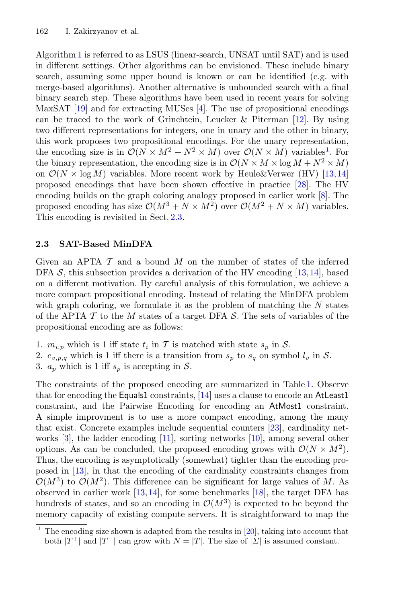Algorithm [1](#page-2-0) is referred to as LSUS (linear-search, UNSAT until SAT) and is used in different settings. Other algorithms can be envisioned. These include binary search, assuming some upper bound is known or can be identified (e.g. with merge-based algorithms). Another alternative is unbounded search with a final binary search step. These algorithms have been used in recent years for solving MaxSAT [\[19](#page-13-16)] and for extracting MUSes [\[4](#page-12-4)]. The use of propositional encodings can be traced to the work of Grinchtein, Leucker & Piterman [\[12\]](#page-13-6). By using two different representations for integers, one in unary and the other in binary, this work proposes two propositional encodings. For the unary representation, the encoding size is in  $\mathcal{O}(N \times M^2 + N^2 \times M)$  over  $\mathcal{O}(N \times M)$  variables<sup>1</sup>. For the binary representation, the encoding size is in  $\mathcal{O}(N \times M \times \log M + N^2 \times M)$ on  $\mathcal{O}(N \times \log M)$  variables. More recent work by Heule&Verwer (HV) [\[13](#page-13-7)[,14](#page-13-11)] proposed encodings that have been shown effective in practice [\[28](#page-14-4)]. The HV encoding builds on the graph coloring analogy proposed in earlier work [\[8](#page-13-1)]. The proposed encoding has size  $\mathcal{O}(M^3 + N \times M^2)$  over  $\mathcal{O}(M^2 + N \times M)$  variables. This encoding is revisited in Sect. [2.3.](#page-3-0)

### <span id="page-3-0"></span>**2.3 SAT-Based MinDFA**

Given an APTA  $\mathcal T$  and a bound  $M$  on the number of states of the inferred DFA  $S$ , this subsection provides a derivation of the HV encoding [\[13](#page-13-7)[,14](#page-13-11)], based on a different motivation. By careful analysis of this formulation, we achieve a more compact propositional encoding. Instead of relating the MinDFA problem with graph coloring, we formulate it as the problem of matching the  $N$  states of the APTA  $\mathcal T$  to the M states of a target DFA  $\mathcal S$ . The sets of variables of the propositional encoding are as follows:

- 1.  $m_{i,p}$  which is 1 iff state  $t_i$  in T is matched with state  $s_p$  in S.
- 2.  $e_{v,p,q}$  which is 1 iff there is a transition from  $s_p$  to  $s_q$  on symbol  $l_v$  in S.
- 3.  $a_p$  which is 1 iff  $s_p$  is accepting in S.

The constraints of the proposed encoding are summarized in Table [1.](#page-4-1) Observe that for encoding the Equals1 constraints, [\[14](#page-13-11)] uses a clause to encode an AtLeast1 constraint, and the Pairwise Encoding for encoding an AtMost1 constraint. A simple improvment is to use a more compact encoding, among the many that exist. Concrete examples include sequential counters [\[23\]](#page-13-17), cardinality networks [\[3\]](#page-12-5), the ladder encoding [\[11](#page-13-18)], sorting networks [\[10](#page-13-19)], among several other options. As can be concluded, the proposed encoding grows with  $\mathcal{O}(N \times M^2)$ . Thus, the encoding is asymptotically (somewhat) tighter than the encoding proposed in [\[13\]](#page-13-7), in that the encoding of the cardinality constraints changes from  $\mathcal{O}(M^3)$  to  $\mathcal{O}(M^2)$ . This difference can be significant for large values of M. As observed in earlier work  $[13,14]$  $[13,14]$  $[13,14]$ , for some benchmarks  $[18]$  $[18]$ , the target DFA has hundreds of states, and so an encoding in  $\mathcal{O}(M^3)$  is expected to be beyond the memory capacity of existing compute servers. It is straightforward to map the

<sup>&</sup>lt;sup>1</sup> The encoding size shown is adapted from the results in  $[20]$  $[20]$ , taking into account that both  $|T^+|$  and  $|T^-|$  can grow with  $N = |T|$ . The size of  $|\Sigma|$  is assumed constant.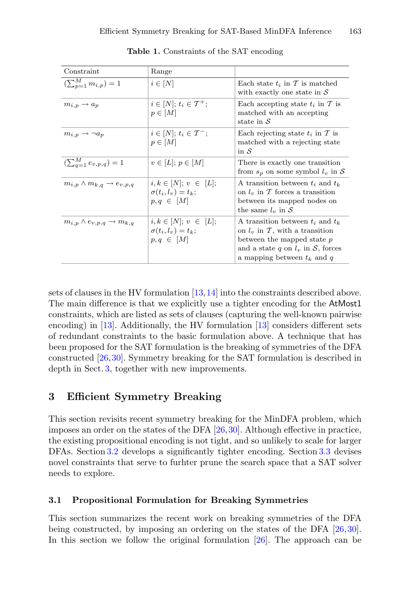| Constraint                                     | Range                                                                     |                                                                                                                                                                                  |  |  |  |
|------------------------------------------------|---------------------------------------------------------------------------|----------------------------------------------------------------------------------------------------------------------------------------------------------------------------------|--|--|--|
| $\overline{(\sum_{n=1}^{M} m_{i,p})} = 1$      | $i \in [N]$                                                               | Each state $t_i$ in T is matched<br>with exactly one state in $\mathcal S$                                                                                                       |  |  |  |
| $m_{i,p} \rightarrow a_p$                      | $i \in [N]; t_i \in T^+;$<br>$p \in [M]$                                  | Each accepting state $t_i$ in T is<br>matched with an accepting<br>state in $\mathcal S$                                                                                         |  |  |  |
| $m_{i,p} \rightarrow \neg a_p$                 | $i\in[N];$ $t_i\in\mathcal{T}^-;$<br>$p \in [M]$                          | Each rejecting state $t_i$ in $\mathcal T$ is<br>matched with a rejecting state<br>in $\mathcal S$                                                                               |  |  |  |
| $(\sum_{a=1}^{M} e_{v,p,q}) = 1$               | $v\in[L]; p\in[M]$                                                        | There is exactly one transition<br>from $s_p$ on some symbol $l_v$ in S                                                                                                          |  |  |  |
| $m_{i,p} \wedge m_{k,q} \rightarrow e_{v,p,q}$ | $i, k \in [N]; v \in [L];$<br>$\sigma(t_i, l_v) = t_k;$<br>$p,q \in [M]$  | A transition between $t_i$ and $t_k$<br>on $l_v$ in T forces a transition<br>between its mapped nodes on<br>the same $l_v$ in S                                                  |  |  |  |
| $m_{i,p} \wedge e_{v,p,q} \rightarrow m_{k,q}$ | $i, k \in [N]; v \in [L];$<br>$\sigma(t_i, l_v) = t_k;$<br>$p, q \in [M]$ | A transition between $t_i$ and $t_k$<br>on $l_v$ in T, with a transition<br>between the mapped state $p$<br>and a state q on $l_v$ in S, forces<br>a mapping between $t_k$ and q |  |  |  |

<span id="page-4-1"></span>**Table 1.** Constraints of the SAT encoding

sets of clauses in the HV formulation [\[13](#page-13-7)[,14](#page-13-11)] into the constraints described above. The main difference is that we explicitly use a tighter encoding for the AtMost1 constraints, which are listed as sets of clauses (capturing the well-known pairwise encoding) in [\[13\]](#page-13-7). Additionally, the HV formulation [\[13\]](#page-13-7) considers different sets of redundant constraints to the basic formulation above. A technique that has been proposed for the SAT formulation is the breaking of symmetries of the DFA constructed [\[26,](#page-14-3)[30](#page-14-1)]. Symmetry breaking for the SAT formulation is described in depth in Sect. [3,](#page-4-0) together with new improvements.

# <span id="page-4-0"></span>**3 Efficient Symmetry Breaking**

This section revisits recent symmetry breaking for the MinDFA problem, which imposes an order on the states of the DFA [\[26,](#page-14-3)[30](#page-14-1)]. Although effective in practice, the existing propositional encoding is not tight, and so unlikely to scale for larger DFAs. Section [3.2](#page-5-0) develops a significantly tighter encoding. Section [3.3](#page-7-0) devises novel constraints that serve to furhter prune the search space that a SAT solver needs to explore.

#### <span id="page-4-2"></span>**3.1 Propositional Formulation for Breaking Symmetries**

This section summarizes the recent work on breaking symmetries of the DFA being constructed, by imposing an ordering on the states of the DFA [\[26](#page-14-3),[30\]](#page-14-1). In this section we follow the original formulation [\[26](#page-14-3)]. The approach can be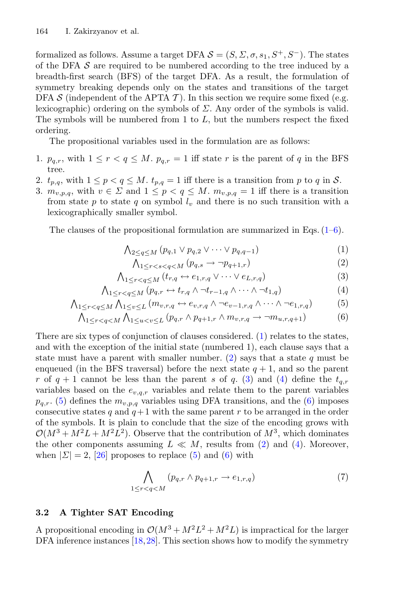formalized as follows. Assume a target DFA  $S = (S, \Sigma, \sigma, s_1, S^+, S^-)$ . The states of the DFA  $\mathcal S$  are required to be numbered according to the tree induced by a breadth-first search (BFS) of the target DFA. As a result, the formulation of symmetry breaking depends only on the states and transitions of the target DFA S (independent of the APTA  $\mathcal T$ ). In this section we require some fixed (e.g. lexicographic) ordering on the symbols of  $\Sigma$ . Any order of the symbols is valid. The symbols will be numbered from 1 to  $L$ , but the numbers respect the fixed ordering.

The propositional variables used in the formulation are as follows:

- 1.  $p_{q,r}$ , with  $1 \leq r < q \leq M$ .  $p_{q,r} = 1$  iff state r is the parent of q in the BFS tree.
- 2.  $t_{p,q}$ , with  $1 \leq p < q \leq M$ .  $t_{p,q} = 1$  iff there is a transition from p to q in S.
- 3.  $m_{v,p,q}$ , with  $v \in \Sigma$  and  $1 \leq p < q \leq M$ .  $m_{v,p,q} = 1$  iff there is a transition from state p to state q on symbol  $l_v$  and there is no such transition with a lexicographically smaller symbol.

<span id="page-5-1"></span>The clauses of the propositional formulation are summarized in Eqs.  $(1-6)$ .

$$
\bigwedge_{2\leq q\leq M} (p_{q,1}\vee p_{q,2}\vee\cdots\vee p_{q,q-1})\tag{1}
$$

$$
\bigwedge_{1 \leq r < s < q < M} (p_{q,s} \to \neg p_{q+1,r}) \tag{2}
$$

$$
\bigwedge_{1 \leq r < q \leq M} (t_{r,q} \leftrightarrow e_{1,r,q} \lor \cdots \lor e_{L,r,q}) \tag{3}
$$

$$
\bigwedge_{1 \leq r < q \leq M} (p_{q,r} \leftrightarrow t_{r,q} \land \neg t_{r-1,q} \land \cdots \land \neg t_{1,q}) \tag{4}
$$

$$
\bigwedge_{1 \leq r < q \leq M} \bigwedge_{1 \leq v \leq L} (m_{v,r,q} \leftrightarrow e_{v,r,q} \land \neg e_{v-1,r,q} \land \cdots \land \neg e_{1,r,q}) \tag{5}
$$

$$
\bigwedge_{1 \leq r < q < M} \bigwedge_{1 \leq u < v \leq L} (p_{q,r} \land p_{q+1,r} \land m_{v,r,q} \to \neg m_{u,r,q+1}) \tag{6}
$$

There are six types of conjunction of clauses considered. [\(1\)](#page-5-1) relates to the states, and with the exception of the initial state (numbered 1), each clause says that a state must have a parent with smaller number. [\(2\)](#page-5-1) says that a state  $q$  must be enqueued (in the BFS traversal) before the next state  $q + 1$ , and so the parent r of  $q + 1$  cannot be less than the parent s of q. [\(3\)](#page-5-1) and [\(4\)](#page-5-1) define the  $t_{q,r}$ variables based on the  $e_{v,q,r}$  variables and relate them to the parent variables  $p_{q,r}$ . [\(5\)](#page-5-1) defines the  $m_{v,p,q}$  variables using DFA transitions, and the [\(6\)](#page-5-1) imposes consecutive states q and  $q+1$  with the same parent r to be arranged in the order of the symbols. It is plain to conclude that the size of the encoding grows with  $\mathcal{O}(M^3 + M^2L + M^2L^2)$ . Observe that the contribution of  $M^3$ , which dominates the other components assuming  $L \ll M$ , results from [\(2\)](#page-5-1) and [\(4\)](#page-5-1). Moreover, when  $|\Sigma| = 2$ , [\[26](#page-14-3)] proposes to replace [\(5\)](#page-5-1) and [\(6\)](#page-5-1) with

$$
\bigwedge_{1 \leq r < q < M} (p_{q,r} \land p_{q+1,r} \to e_{1,r,q}) \tag{7}
$$

### <span id="page-5-0"></span>**3.2 A Tighter SAT Encoding**

A propositional encoding in  $\mathcal{O}(M^3 + M^2L^2 + M^2L)$  is impractical for the larger DFA inference instances [\[18,](#page-13-5)[28\]](#page-14-4). This section shows how to modify the symmetry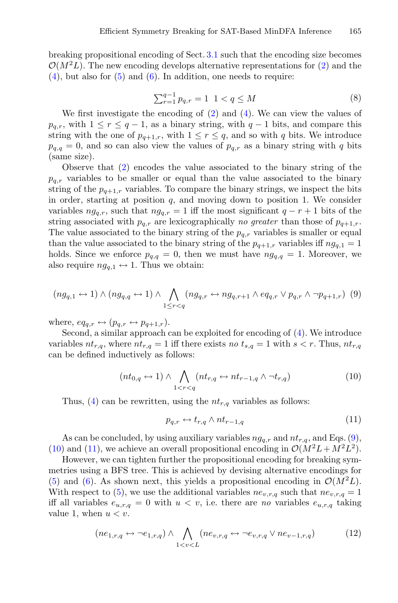breaking propositional encoding of Sect. [3.1](#page-4-2) such that the encoding size becomes  $\mathcal{O}(M^2L)$ . The new encoding develops alternative representations for [\(2\)](#page-5-1) and the  $(4)$ , but also for  $(5)$  and  $(6)$ . In addition, one needs to require:

$$
\sum_{r=1}^{q-1} p_{q,r} = 1 \ 1 < q \le M \tag{8}
$$

We first investigate the encoding of  $(2)$  and  $(4)$ . We can view the values of  $p_{q,r}$ , with  $1 \leq r \leq q-1$ , as a binary string, with  $q-1$  bits, and compare this string with the one of  $p_{q+1,r}$ , with  $1 \leq r \leq q$ , and so with q bits. We introduce  $p_{q,q} = 0$ , and so can also view the values of  $p_{q,r}$  as a binary string with q bits (same size).

Observe that [\(2\)](#page-5-1) encodes the value associated to the binary string of the  $p_{q,r}$  variables to be smaller or equal than the value associated to the binary string of the  $p_{q+1,r}$  variables. To compare the binary strings, we inspect the bits in order, starting at position  $q$ , and moving down to position 1. We consider variables  $ng_{q,r}$ , such that  $ng_{q,r} = 1$  iff the most significant  $q - r + 1$  bits of the string associated with  $p_{q,r}$  are lexicographically *no greater* than those of  $p_{q+1,r}$ . The value associated to the binary string of the  $p_{q,r}$  variables is smaller or equal than the value associated to the binary string of the  $p_{q+1,r}$  variables iff  $ng_{q,1} = 1$ holds. Since we enforce  $p_{q,q} = 0$ , then we must have  $ng_{q,q} = 1$ . Moreover, we also require  $ng_{a,1} \leftrightarrow 1$ . Thus we obtain:

<span id="page-6-0"></span>
$$
(ng_{q,1} \leftrightarrow 1) \land (ng_{q,q} \leftrightarrow 1) \land \bigwedge_{1 \leq r < q} (ng_{q,r} \leftrightarrow ng_{q,r+1} \land eq_{q,r} \lor p_{q,r} \land \neg p_{q+1,r}) \tag{9}
$$

where,  $eq_{q,r} \leftrightarrow (p_{q,r} \leftrightarrow p_{q+1,r}).$ 

Second, a similar approach can be exploited for encoding of [\(4\)](#page-5-1). We introduce variables  $nt_{r,q}$ , where  $nt_{r,q} = 1$  iff there exists no  $t_{s,q} = 1$  with  $s < r$ . Thus,  $nt_{r,q}$ can be defined inductively as follows:

<span id="page-6-1"></span>
$$
(nt_{0,q} \leftrightarrow 1) \land \bigwedge_{1 < r < q} (nt_{r,q} \leftrightarrow nt_{r-1,q} \land \neg t_{r,q}) \tag{10}
$$

Thus, [\(4\)](#page-5-1) can be rewritten, using the  $nt_{r,q}$  variables as follows:

<span id="page-6-2"></span>
$$
p_{q,r} \leftrightarrow t_{r,q} \wedge nt_{r-1,q} \tag{11}
$$

As can be concluded, by using auxiliary variables  $ng_{a,r}$  and  $nt_{r,q}$ , and Eqs. [\(9\)](#page-6-0), [\(10\)](#page-6-1) and [\(11\)](#page-6-2), we achieve an overall propositional encoding in  $\mathcal{O}(M^2L+M^2L^2)$ .

However, we can tighten further the propositional encoding for breaking symmetries using a BFS tree. This is achieved by devising alternative encodings for [\(5\)](#page-5-1) and [\(6\)](#page-5-1). As shown next, this yields a propositional encoding in  $\mathcal{O}(M^2L)$ . With respect to  $(5)$ , we use the additional variables  $ne_{v,r,q}$  such that  $ne_{v,r,q} = 1$ iff all variables  $e_{u,r,q} = 0$  with  $u < v$ , i.e. there are *no* variables  $e_{u,r,q}$  taking value 1, when  $u < v$ .

<span id="page-6-3"></span>
$$
(ne_{1,r,q} \leftrightarrow \neg e_{1,r,q}) \land \bigwedge_{1 < v < L} (ne_{v,r,q} \leftrightarrow \neg e_{v,r,q} \lor ne_{v-1,r,q}) \tag{12}
$$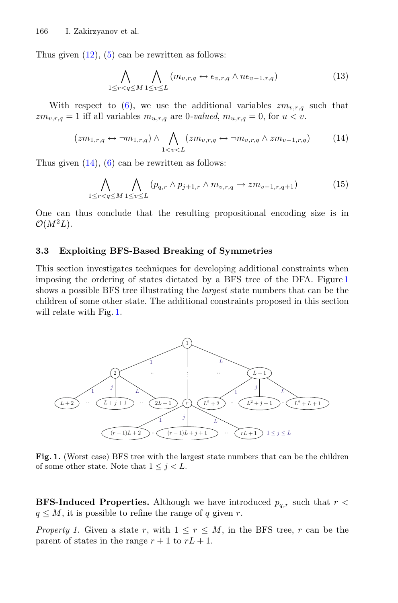Thus given  $(12)$ ,  $(5)$  can be rewritten as follows:

$$
\bigwedge_{1 \leq r < q \leq M} \bigwedge_{1 \leq v \leq L} (m_{v,r,q} \leftrightarrow e_{v,r,q} \land ne_{v-1,r,q}) \tag{13}
$$

With respect to [\(6\)](#page-5-1), we use the additional variables  $zm_{v,r,q}$  such that  $zm_{v,r,q}=1$  iff all variables  $m_{u,r,q}$  are 0*-valued*,  $m_{u,r,q}=0$ , for  $u < v$ .

<span id="page-7-1"></span>
$$
(zm_{1,r,q} \leftrightarrow \neg m_{1,r,q}) \land \bigwedge_{1 < v < L} (zm_{v,r,q} \leftrightarrow \neg m_{v,r,q} \land zm_{v-1,r,q}) \tag{14}
$$

Thus given  $(14)$ ,  $(6)$  can be rewritten as follows:

$$
\bigwedge_{1 \leq r < q \leq M} \bigwedge_{1 \leq v \leq L} (p_{q,r} \land p_{j+1,r} \land m_{v,r,q} \to zm_{v-1,r,q+1}) \tag{15}
$$

One can thus conclude that the resulting propositional encoding size is in  $\mathcal{O}(M^2L)$ .

#### <span id="page-7-0"></span>**3.3 Exploiting BFS-Based Breaking of Symmetries**

This section investigates techniques for developing additional constraints when imposing the ordering of states dictated by a BFS tree of the DFA. Figure [1](#page-7-2) shows a possible BFS tree illustrating the *largest* state numbers that can be the children of some other state. The additional constraints proposed in this section will relate with Fig. [1.](#page-7-2)



<span id="page-7-2"></span>**Fig. 1.** (Worst case) BFS tree with the largest state numbers that can be the children of some other state. Note that  $1 \leq j \leq L$ .

**BFS-Induced Properties.** Although we have introduced  $p_{q,r}$  such that  $r <$  $q \leq M$ , it is possible to refine the range of q given r.

*Property 1.* Given a state r, with  $1 \leq r \leq M$ , in the BFS tree, r can be the parent of states in the range  $r + 1$  to  $rL + 1$ .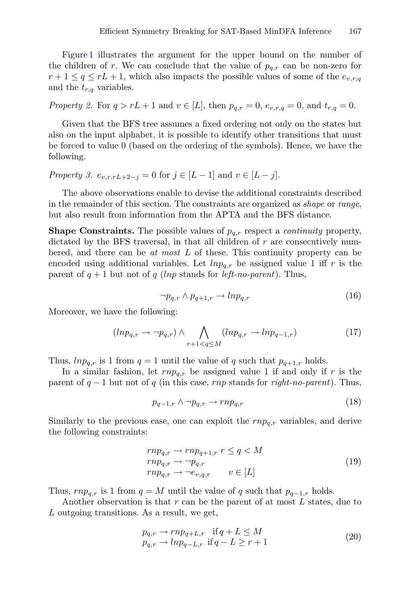Figure [1](#page-7-2) illustrates the argument for the upper bound on the number of the children of r. We can conclude that the value of  $p_{q,r}$  can be non-zero for  $r+1 \leq q \leq rL+1$ , which also impacts the possible values of some of the  $e_{v,r,q}$ and the  $t_{r,q}$  variables.

*Property 2.* For  $q > rL + 1$  and  $v \in [L]$ , then  $p_{q,r} = 0$ ,  $e_{v,r,q} = 0$ , and  $t_{r,q} = 0$ .

Given that the BFS tree assumes a fixed ordering not only on the states but also on the input alphabet, it is possible to identify other transitions that must be forced to value 0 (based on the ordering of the symbols). Hence, we have the following.

<span id="page-8-0"></span>*Property 3.*  $e_{v,r,r}L_{+2-j} = 0$  for  $j \in [L-1]$  and  $v \in [L-j]$ .

The above observations enable to devise the additional constraints described in the remainder of this section. The constraints are organized as *shape* or *range*, but also result from information from the APTA and the BFS distance.

**Shape Constraints.** The possible values of p*q,r* respect a *continuity* property, dictated by the BFS traversal, in that all children of r are consecutively numbered, and there can be *at most* L of these. This continuity property can be encoded using additional variables. Let  $ln p_{q,r}$  be assigned value 1 iff r is the parent of  $q + 1$  but not of q (lnp stands for *left-no-parent*). Thus,

$$
\neg p_{q,r} \land p_{q+1,r} \to lnp_{q,r} \tag{16}
$$

Moreover, we have the following:

$$
(ln p_{q,r} \to \neg p_{q,r}) \land \bigwedge_{r+1 < q \le M} (ln p_{q,r} \to l n p_{q-1,r}) \tag{17}
$$

Thus,  $ln p_{q,r}$  is 1 from  $q = 1$  until the value of q such that  $p_{q+1,r}$  holds.

In a similar fashion, let  $rnp_{a,r}$  be assigned value 1 if and only if r is the parent of q − 1 but not of q (in this case, rnp stands for *right-no-parent*). Thus,

$$
p_{q-1,r} \wedge \neg p_{q,r} \to rnp_{q,r} \tag{18}
$$

Similarly to the previous case, one can exploit the rnp*q,r* variables, and derive the following constraints:

$$
rnp_{q,r} \to rnp_{q+1,r} \ r \leq q < M
$$
\n
$$
rnp_{q,r} \to \neg p_{q,r}
$$
\n
$$
rnp_{q,r} \to \neg e_{v,q,r} \ \ v \in [L]
$$
\n
$$
(19)
$$

Thus,  $rnp_{a,r}$  is 1 from  $q = M$  until the value of q such that  $p_{q-1,r}$  holds.

Another observation is that  $r$  can be the parent of at most  $L$  states, due to L outgoing transitions. As a result, we get,

$$
p_{q,r} \to rnp_{q+L,r} \quad \text{if } q+L \le M\\p_{q,r} \to lnp_{q-L,r} \quad \text{if } q-L \ge r+1
$$
\n
$$
(20)
$$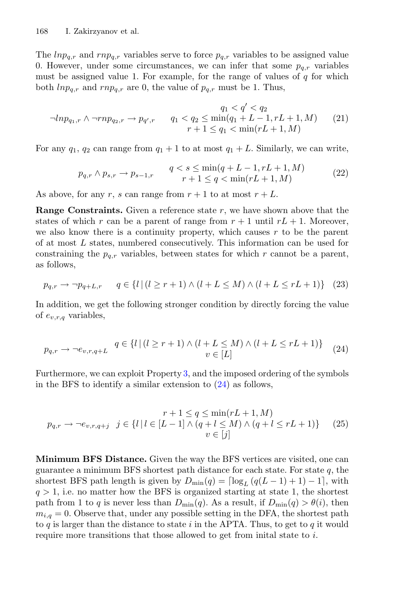The  $ln p_{q,r}$  and  $rn p_{q,r}$  variables serve to force  $p_{q,r}$  variables to be assigned value 0. However, under some circumstances, we can infer that some  $p_{q,r}$  variables must be assigned value 1. For example, for the range of values of  $q$  for which both  $ln p_{q,r}$  and  $rn p_{q,r}$  are 0, the value of  $p_{q,r}$  must be 1. Thus,

$$
\neg lnp_{q_1,r} \land \neg rnp_{q_2,r} \to p_{q',r} \qquad q_1 < q_2 \le \min(q_1 + L - 1, rL + 1, M) \qquad (21)
$$
\n
$$
r + 1 \le q_1 < \min(rL + 1, M)
$$

For any  $q_1$ ,  $q_2$  can range from  $q_1 + 1$  to at most  $q_1 + L$ . Similarly, we can write,

$$
p_{q,r} \wedge p_{s,r} \to p_{s-1,r} \qquad q < s \leq \min(q+L-1, rL+1, M) \qquad (22)
$$
\n
$$
r+1 \leq q < \min(rL+1, M)
$$

As above, for any r, s can range from  $r + 1$  to at most  $r + L$ .

**Range Constraints.** Given a reference state r, we have shown above that the states of which r can be a parent of range from  $r + 1$  until  $rL + 1$ . Moreover, we also know there is a continuity property, which causes  $r$  to be the parent of at most L states, numbered consecutively. This information can be used for constraining the  $p_{q,r}$  variables, between states for which r cannot be a parent, as follows,

$$
p_{q,r} \to \neg p_{q+L,r} \qquad q \in \{l \mid (l \ge r+1) \land (l+L \le M) \land (l+L \le rL+1)\} \tag{23}
$$

In addition, we get the following stronger condition by directly forcing the value of e*v,r,q* variables,

<span id="page-9-0"></span>
$$
p_{q,r} \to \neg e_{v,r,q+L} \quad q \in \{l \mid (l \ge r+1) \land (l + L \le M) \land (l + L \le rL+1)\} \quad (24)
$$

Furthermore, we can exploit Property [3,](#page-8-0) and the imposed ordering of the symbols in the BFS to identify a similar extension to  $(24)$  as follows,

$$
p_{q,r} \to \neg e_{v,r,q+j} \quad j \in \{l \mid l \in [L-1] \land (q+l \leq M) \land (q+l \leq rL+1)\} \qquad (25)
$$
  

$$
v \in [j]
$$

**Minimum BFS Distance.** Given the way the BFS vertices are visited, one can guarantee a minimum BFS shortest path distance for each state. For state  $q$ , the shortest BFS path length is given by  $D_{\min}(q) = \lceil \log_L (q(L-1) + 1) - 1 \rceil$ , with  $q > 1$ , i.e. no matter how the BFS is organized starting at state 1, the shortest path from 1 to q is never less than  $D_{\min}(q)$ . As a result, if  $D_{\min}(q) > \theta(i)$ , then  $m_{i,q} = 0$ . Observe that, under any possible setting in the DFA, the shortest path to  $q$  is larger than the distance to state  $i$  in the APTA. Thus, to get to  $q$  it would require more transitions that those allowed to get from initial state to  $i$ .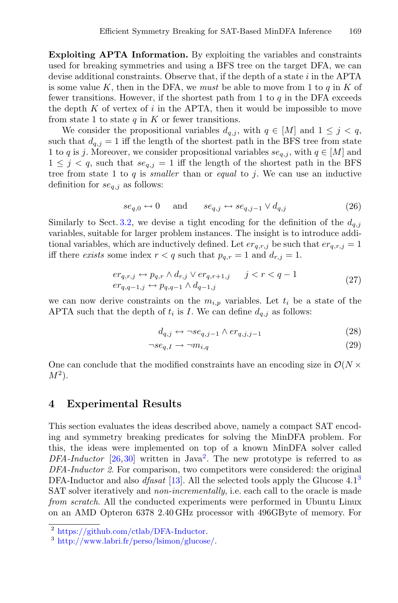**Exploiting APTA Information.** By exploiting the variables and constraints used for breaking symmetries and using a BFS tree on the target DFA, we can devise additional constraints. Observe that, if the depth of a state  $i$  in the APTA is some value  $K$ , then in the DFA, we *must* be able to move from 1 to  $q$  in  $K$  of fewer transitions. However, if the shortest path from 1 to  $q$  in the DFA exceeds the depth K of vertex of i in the APTA, then it would be impossible to move from state 1 to state  $q$  in  $K$  or fewer transitions.

We consider the propositional variables  $d_{q,j}$ , with  $q \in [M]$  and  $1 \leq j \leq q$ , such that  $d_{q,j} = 1$  iff the length of the shortest path in the BFS tree from state 1 to q is j. Moreover, we consider propositional variables  $se_{q,i}$ , with  $q \in [M]$  and  $1 \leq j \leq q$ , such that  $se_{q,j} = 1$  iff the length of the shortest path in the BFS tree from state 1 to q is *smaller* than or *equal* to j. We can use an inductive definition for se*q,j* as follows:

$$
se_{q,0} \leftrightarrow 0
$$
 and  $se_{q,j} \leftrightarrow se_{q,j-1} \lor d_{q,j}$  (26)

Similarly to Sect. [3.2,](#page-5-0) we devise a tight encoding for the definition of the  $d_{q,j}$ variables, suitable for larger problem instances. The insight is to introduce additional variables, which are inductively defined. Let  $er_{q,r,j}$  be such that  $er_{q,r,j} = 1$ iff there *exists* some index  $r < q$  such that  $p_{q,r} = 1$  and  $d_{r,j} = 1$ .

$$
er_{q,r,j} \leftrightarrow p_{q,r} \land d_{r,j} \lor er_{q,r+1,j} \qquad j < r < q-1
$$
\n
$$
er_{q,q-1,j} \leftrightarrow p_{q,q-1} \land d_{q-1,j} \tag{27}
$$

we can now derive constraints on the  $m_{i,p}$  variables. Let  $t_i$  be a state of the APTA such that the depth of  $t_i$  is I. We can define  $d_{q,i}$  as follows:

$$
d_{q,j} \leftrightarrow \neg se_{q,j-1} \land er_{q,j,j-1} \tag{28}
$$

$$
\neg se_{q,I} \to \neg m_{i,q} \tag{29}
$$

One can conclude that the modified constraints have an encoding size in  $\mathcal{O}(N \times$  $M^2$ ).

### <span id="page-10-0"></span>**4 Experimental Results**

This section evaluates the ideas described above, namely a compact SAT encoding and symmetry breaking predicates for solving the MinDFA problem. For this, the ideas were implemented on top of a known MinDFA solver called DFA-Inductor  $[26,30]$  $[26,30]$  written in Java<sup>2</sup>. The new prototype is referred to as *DFA-Inductor 2*. For comparison, two competitors were considered: the original DFA-Inductor and also *dfasat* [\[13](#page-13-7)]. All the selected tools apply the Glucose 4.1<sup>3</sup> SAT solver iteratively and *non-incrementally*, i.e. each call to the oracle is made *from scratch*. All the conducted experiments were performed in Ubuntu Linux on an AMD Opteron 6378 2.40 GHz processor with 496GByte of memory. For

<sup>2</sup> [https://github.com/ctlab/DFA-Inductor.](https://github.com/ctlab/DFA-Inductor)

<sup>3</sup> [http://www.labri.fr/perso/lsimon/glucose/.](http://www.labri.fr/perso/lsimon/glucose/)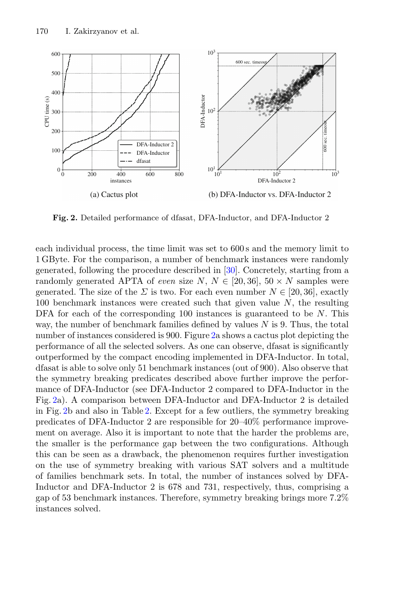

<span id="page-11-0"></span>**Fig. 2.** Detailed performance of dfasat, DFA-Inductor, and DFA-Inductor 2

each individual process, the time limit was set to 600 s and the memory limit to 1 GByte. For the comparison, a number of benchmark instances were randomly generated, following the procedure described in [\[30\]](#page-14-1). Concretely, starting from a randomly generated APTA of *even* size  $N, N \in [20, 36], 50 \times N$  samples were generated. The size of the  $\Sigma$  is two. For each even number  $N \in [20, 36]$ , exactly 100 benchmark instances were created such that given value  $N$ , the resulting DFA for each of the corresponding 100 instances is guaranteed to be  $N$ . This way, the number of benchmark families defined by values  $N$  is 9. Thus, the total number of instances considered is 900. Figure [2a](#page-11-0) shows a cactus plot depicting the performance of all the selected solvers. As one can observe, dfasat is significantly outperformed by the compact encoding implemented in DFA-Inductor. In total, dfasat is able to solve only 51 benchmark instances (out of 900). Also observe that the symmetry breaking predicates described above further improve the performance of DFA-Inductor (see DFA-Inductor 2 compared to DFA-Inductor in the Fig. [2a](#page-11-0)). A comparison between DFA-Inductor and DFA-Inductor 2 is detailed in Fig. [2b](#page-11-0) and also in Table [2.](#page-12-6) Except for a few outliers, the symmetry breaking predicates of DFA-Inductor 2 are responsible for 20–40% performance improvement on average. Also it is important to note that the harder the problems are, the smaller is the performance gap between the two configurations. Although this can be seen as a drawback, the phenomenon requires further investigation on the use of symmetry breaking with various SAT solvers and a multitude of families benchmark sets. In total, the number of instances solved by DFA-Inductor and DFA-Inductor 2 is 678 and 731, respectively, thus, comprising a gap of 53 benchmark instances. Therefore, symmetry breaking brings more 7.2% instances solved.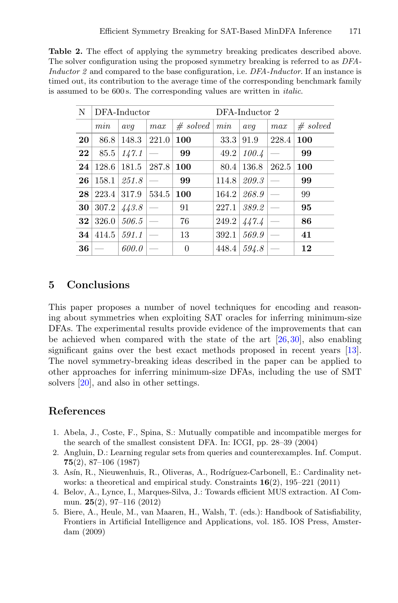<span id="page-12-6"></span>**Table 2.** The effect of applying the symmetry breaking predicates described above. The solver configuration using the proposed symmetry breaking is referred to as *DFA-Inductor 2* and compared to the base configuration, i.e. *DFA-Inductor*. If an instance is timed out, its contribution to the average time of the corresponding benchmark family is assumed to be 600 s. The corresponding values are written in *italic*.

| N  | DFA-Inductor |       |       |          | DFA-Inductor 2 |       |       |          |
|----|--------------|-------|-------|----------|----------------|-------|-------|----------|
|    | min          | avq   | max   | # solved | min            | avq   | max   | # solved |
| 20 | 86.8         | 148.3 | 221.0 | 100      | 33.3           | 91.9  | 228.4 | 100      |
| 22 | 85.5         | 147.1 |       | 99       | 49.2           | 100.4 |       | 99       |
| 24 | 128.6        | 181.5 | 287.8 | 100      | 80.4           | 136.8 | 262.5 | 100      |
| 26 | 158.1        | 251.8 |       | 99       | 114.8          | 209.3 |       | 99       |
| 28 | 223.4        | 317.9 | 534.5 | 100      | 164.2          | 268.9 |       | 99       |
| 30 | 307.2        | 443.8 |       | 91       | 227.1          | 389.2 |       | 95       |
| 32 | 326.0        | 506.5 |       | 76       | 249.2          | 447.4 |       | 86       |
| 34 | 414.5        | 591.1 |       | 13       | 392.1          | 569.9 |       | 41       |
| 36 |              | 600.0 |       | $\theta$ | 448.4          | 594.8 |       | 12       |

# <span id="page-12-0"></span>**5 Conclusions**

This paper proposes a number of novel techniques for encoding and reasoning about symmetries when exploiting SAT oracles for inferring minimum-size DFAs. The experimental results provide evidence of the improvements that can be achieved when compared with the state of the art [\[26,](#page-14-3)[30\]](#page-14-1), also enabling significant gains over the best exact methods proposed in recent years [\[13\]](#page-13-7). The novel symmetry-breaking ideas described in the paper can be applied to other approaches for inferring minimum-size DFAs, including the use of SMT solvers [\[20\]](#page-13-8), and also in other settings.

# **References**

- <span id="page-12-2"></span>1. Abela, J., Coste, F., Spina, S.: Mutually compatible and incompatible merges for the search of the smallest consistent DFA. In: ICGI, pp. 28–39 (2004)
- <span id="page-12-1"></span>2. Angluin, D.: Learning regular sets from queries and counterexamples. Inf. Comput. **75**(2), 87–106 (1987)
- <span id="page-12-5"></span>3. Asín, R., Nieuwenhuis, R., Oliveras, A., Rodríguez-Carbonell, E.: Cardinality networks: a theoretical and empirical study. Constraints **16**(2), 195–221 (2011)
- <span id="page-12-4"></span>4. Belov, A., Lynce, I., Marques-Silva, J.: Towards efficient MUS extraction. AI Commun. **25**(2), 97–116 (2012)
- <span id="page-12-3"></span>5. Biere, A., Heule, M., van Maaren, H., Walsh, T. (eds.): Handbook of Satisfiability, Frontiers in Artificial Intelligence and Applications, vol. 185. IOS Press, Amsterdam (2009)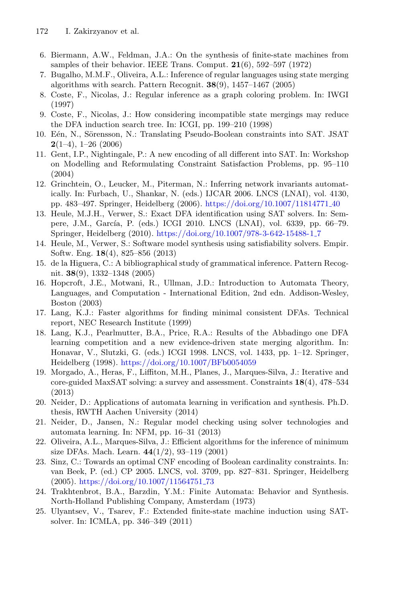- <span id="page-13-0"></span>6. Biermann, A.W., Feldman, J.A.: On the synthesis of finite-state machines from samples of their behavior. IEEE Trans. Comput. **21**(6), 592–597 (1972)
- <span id="page-13-13"></span>7. Bugalho, M.M.F., Oliveira, A.L.: Inference of regular languages using state merging algorithms with search. Pattern Recognit. **38**(9), 1457–1467 (2005)
- <span id="page-13-1"></span>8. Coste, F., Nicolas, J.: Regular inference as a graph coloring problem. In: IWGI (1997)
- <span id="page-13-2"></span>9. Coste, F., Nicolas, J.: How considering incompatible state mergings may reduce the DFA induction search tree. In: ICGI, pp. 199–210 (1998)
- <span id="page-13-19"></span>10. Eén, N., Sörensson, N.: Translating Pseudo-Boolean constraints into SAT. JSAT **2**(1–4), 1–26 (2006)
- <span id="page-13-18"></span>11. Gent, I.P., Nightingale, P.: A new encoding of all different into SAT. In: Workshop on Modelling and Reformulating Constraint Satisfaction Problems, pp. 95–110 (2004)
- <span id="page-13-6"></span>12. Grinchtein, O., Leucker, M., Piterman, N.: Inferring network invariants automatically. In: Furbach, U., Shankar, N. (eds.) IJCAR 2006. LNCS (LNAI), vol. 4130, pp. 483–497. Springer, Heidelberg (2006). [https://doi.org/10.1007/11814771](https://doi.org/10.1007/11814771_40) 40
- <span id="page-13-7"></span>13. Heule, M.J.H., Verwer, S.: Exact DFA identification using SAT solvers. In: Sempere, J.M., García, P. (eds.) ICGI 2010. LNCS (LNAI), vol. 6339, pp. 66–79. Springer, Heidelberg (2010). [https://doi.org/10.1007/978-3-642-15488-1](https://doi.org/10.1007/978-3-642-15488-1_7) 7
- <span id="page-13-11"></span>14. Heule, M., Verwer, S.: Software model synthesis using satisfiability solvers. Empir. Softw. Eng. **18**(4), 825–856 (2013)
- <span id="page-13-14"></span>15. de la Higuera, C.: A bibliographical study of grammatical inference. Pattern Recognit. **38**(9), 1332–1348 (2005)
- <span id="page-13-12"></span>16. Hopcroft, J.E., Motwani, R., Ullman, J.D.: Introduction to Automata Theory, Languages, and Computation - International Edition, 2nd edn. Addison-Wesley, Boston (2003)
- <span id="page-13-4"></span>17. Lang, K.J.: Faster algorithms for finding minimal consistent DFAs. Technical report, NEC Research Institute (1999)
- <span id="page-13-5"></span>18. Lang, K.J., Pearlmutter, B.A., Price, R.A.: Results of the Abbadingo one DFA learning competition and a new evidence-driven state merging algorithm. In: Honavar, V., Slutzki, G. (eds.) ICGI 1998. LNCS, vol. 1433, pp. 1–12. Springer, Heidelberg (1998). <https://doi.org/10.1007/BFb0054059>
- <span id="page-13-16"></span>19. Morgado, A., Heras, F., Liffiton, M.H., Planes, J., Marques-Silva, J.: Iterative and core-guided MaxSAT solving: a survey and assessment. Constraints **18**(4), 478–534 (2013)
- <span id="page-13-8"></span>20. Neider, D.: Applications of automata learning in verification and synthesis. Ph.D. thesis, RWTH Aachen University (2014)
- <span id="page-13-9"></span>21. Neider, D., Jansen, N.: Regular model checking using solver technologies and automata learning. In: NFM, pp. 16–31 (2013)
- <span id="page-13-3"></span>22. Oliveira, A.L., Marques-Silva, J.: Efficient algorithms for the inference of minimum size DFAs. Mach. Learn. **44**(1/2), 93–119 (2001)
- <span id="page-13-17"></span>23. Sinz, C.: Towards an optimal CNF encoding of Boolean cardinality constraints. In: van Beek, P. (ed.) CP 2005. LNCS, vol. 3709, pp. 827–831. Springer, Heidelberg (2005). [https://doi.org/10.1007/11564751](https://doi.org/10.1007/11564751_73) 73
- <span id="page-13-15"></span>24. Trakhtenbrot, B.A., Barzdin, Y.M.: Finite Automata: Behavior and Synthesis. North-Holland Publishing Company, Amsterdam (1973)
- <span id="page-13-10"></span>25. Ulyantsev, V., Tsarev, F.: Extended finite-state machine induction using SATsolver. In: ICMLA, pp. 346–349 (2011)